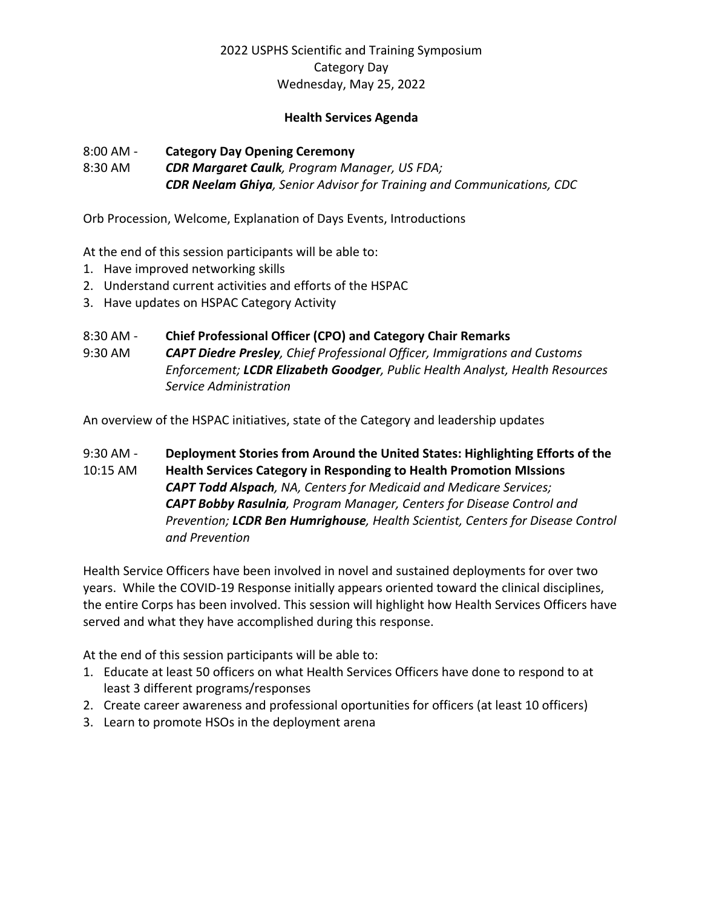#### **Health Services Agenda**

### 8:00 AM - **Category Day Opening Ceremony**

8:30 AM *CDR Margaret Caulk, Program Manager, US FDA; CDR Neelam Ghiya, Senior Advisor for Training and Communications, CDC* 

Orb Procession, Welcome, Explanation of Days Events, Introductions

At the end of this session participants will be able to:

- 1. Have improved networking skills
- 2. Understand current activities and efforts of the HSPAC
- 3. Have updates on HSPAC Category Activity

### 8:30 AM - **Chief Professional Officer (CPO) and Category Chair Remarks**

9:30 AM *CAPT Diedre Presley, Chief Professional Officer, Immigrations and Customs Enforcement; LCDR Elizabeth Goodger, Public Health Analyst, Health Resources Service Administration* 

An overview of the HSPAC initiatives, state of the Category and leadership updates

9:30 AM - **Deployment Stories from Around the United States: Highlighting Efforts of the**  10:15 AM **Health Services Category in Responding to Health Promotion MIssions** *CAPT Todd Alspach, NA, Centers for Medicaid and Medicare Services; CAPT Bobby Rasulnia, Program Manager, Centers for Disease Control and Prevention; LCDR Ben Humrighouse, Health Scientist, Centers for Disease Control and Prevention* 

Health Service Officers have been involved in novel and sustained deployments for over two years. While the COVID-19 Response initially appears oriented toward the clinical disciplines, the entire Corps has been involved. This session will highlight how Health Services Officers have served and what they have accomplished during this response.

At the end of this session participants will be able to:

- 1. Educate at least 50 officers on what Health Services Officers have done to respond to at least 3 different programs/responses
- 2. Create career awareness and professional oportunities for officers (at least 10 officers)
- 3. Learn to promote HSOs in the deployment arena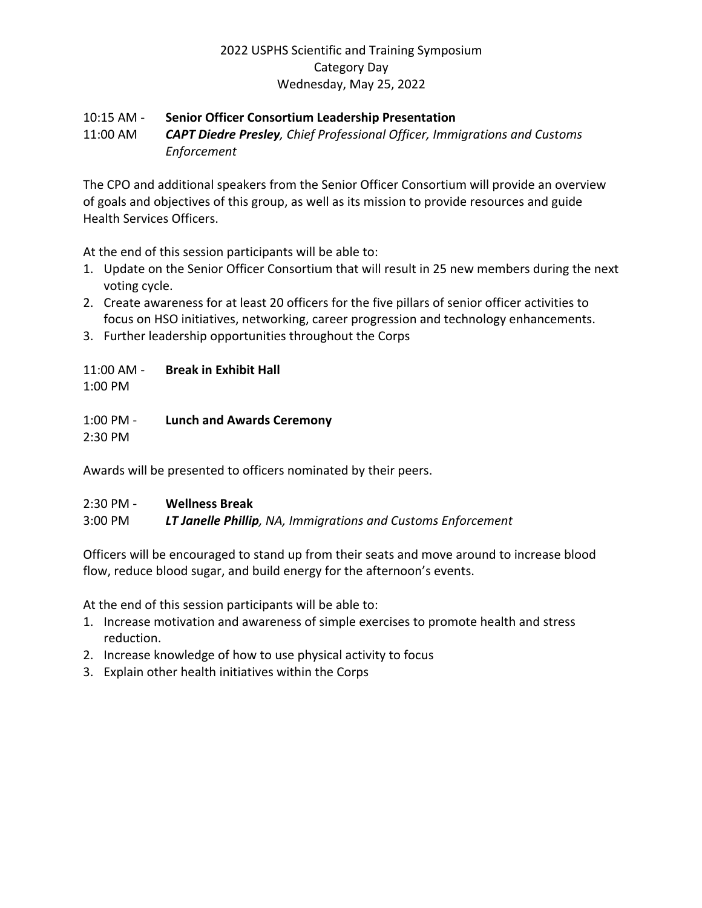#### 10:15 AM - **Senior Officer Consortium Leadership Presentation**

11:00 AM *CAPT Diedre Presley, Chief Professional Officer, Immigrations and Customs Enforcement* 

The CPO and additional speakers from the Senior Officer Consortium will provide an overview of goals and objectives of this group, as well as its mission to provide resources and guide Health Services Officers.

At the end of this session participants will be able to:

- 1. Update on the Senior Officer Consortium that will result in 25 new members during the next voting cycle.
- 2. Create awareness for at least 20 officers for the five pillars of senior officer activities to focus on HSO initiatives, networking, career progression and technology enhancements.
- 3. Further leadership opportunities throughout the Corps

## 11:00 AM - **Break in Exhibit Hall**

1:00 PM

## 1:00 PM - **Lunch and Awards Ceremony**

2:30 PM

Awards will be presented to officers nominated by their peers.

## 2:30 PM - **Wellness Break**

3:00 PM *LT Janelle Phillip, NA, Immigrations and Customs Enforcement* 

Officers will be encouraged to stand up from their seats and move around to increase blood flow, reduce blood sugar, and build energy for the afternoon's events.

At the end of this session participants will be able to:

- 1. Increase motivation and awareness of simple exercises to promote health and stress reduction.
- 2. Increase knowledge of how to use physical activity to focus
- 3. Explain other health initiatives within the Corps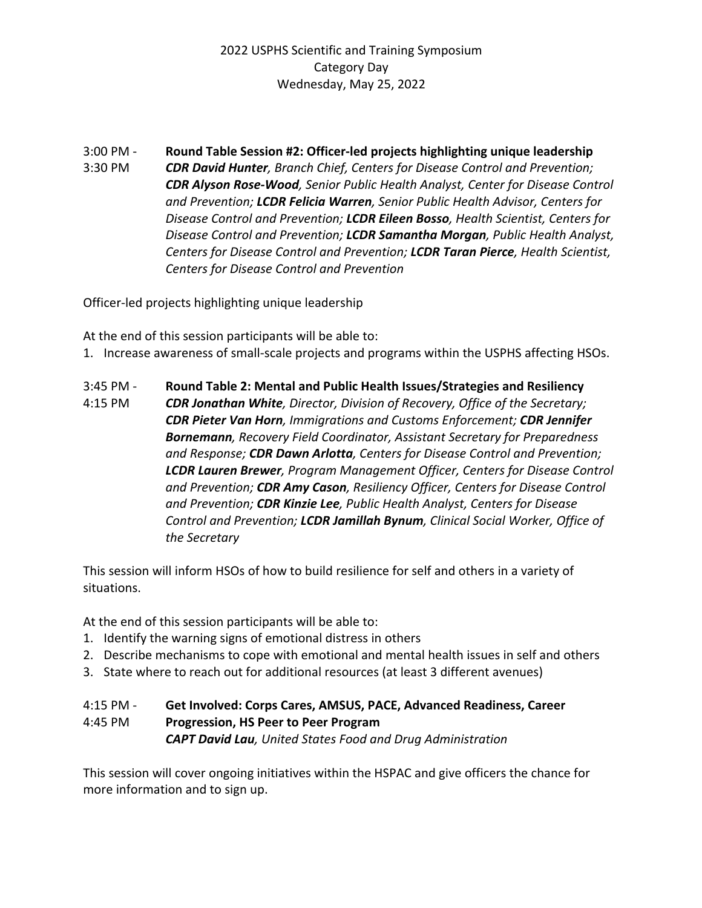3:00 PM - **Round Table Session #2: Officer-led projects highlighting unique leadership** 3:30 PM *CDR David Hunter, Branch Chief, Centers for Disease Control and Prevention; CDR Alyson Rose-Wood, Senior Public Health Analyst, Center for Disease Control and Prevention; LCDR Felicia Warren, Senior Public Health Advisor, Centers for Disease Control and Prevention; LCDR Eileen Bosso, Health Scientist, Centers for Disease Control and Prevention; LCDR Samantha Morgan, Public Health Analyst, Centers for Disease Control and Prevention; LCDR Taran Pierce, Health Scientist, Centers for Disease Control and Prevention* 

Officer-led projects highlighting unique leadership

At the end of this session participants will be able to:

- 1. Increase awareness of small-scale projects and programs within the USPHS affecting HSOs.
- 3:45 PM **Round Table 2: Mental and Public Health Issues/Strategies and Resiliency** 4:15 PM *CDR Jonathan White, Director, Division of Recovery, Office of the Secretary; CDR Pieter Van Horn, Immigrations and Customs Enforcement; CDR Jennifer Bornemann, Recovery Field Coordinator, Assistant Secretary for Preparedness and Response; CDR Dawn Arlotta, Centers for Disease Control and Prevention; LCDR Lauren Brewer, Program Management Officer, Centers for Disease Control and Prevention; CDR Amy Cason, Resiliency Officer, Centers for Disease Control and Prevention; CDR Kinzie Lee, Public Health Analyst, Centers for Disease Control and Prevention; LCDR Jamillah Bynum, Clinical Social Worker, Office of the Secretary*

This session will inform HSOs of how to build resilience for self and others in a variety of situations.

At the end of this session participants will be able to:

- 1. Identify the warning signs of emotional distress in others
- 2. Describe mechanisms to cope with emotional and mental health issues in self and others
- 3. State where to reach out for additional resources (at least 3 different avenues)

### 4:15 PM - **Get Involved: Corps Cares, AMSUS, PACE, Advanced Readiness, Career**  4:45 PM **Progression, HS Peer to Peer Program** *CAPT David Lau, United States Food and Drug Administration*

This session will cover ongoing initiatives within the HSPAC and give officers the chance for more information and to sign up.